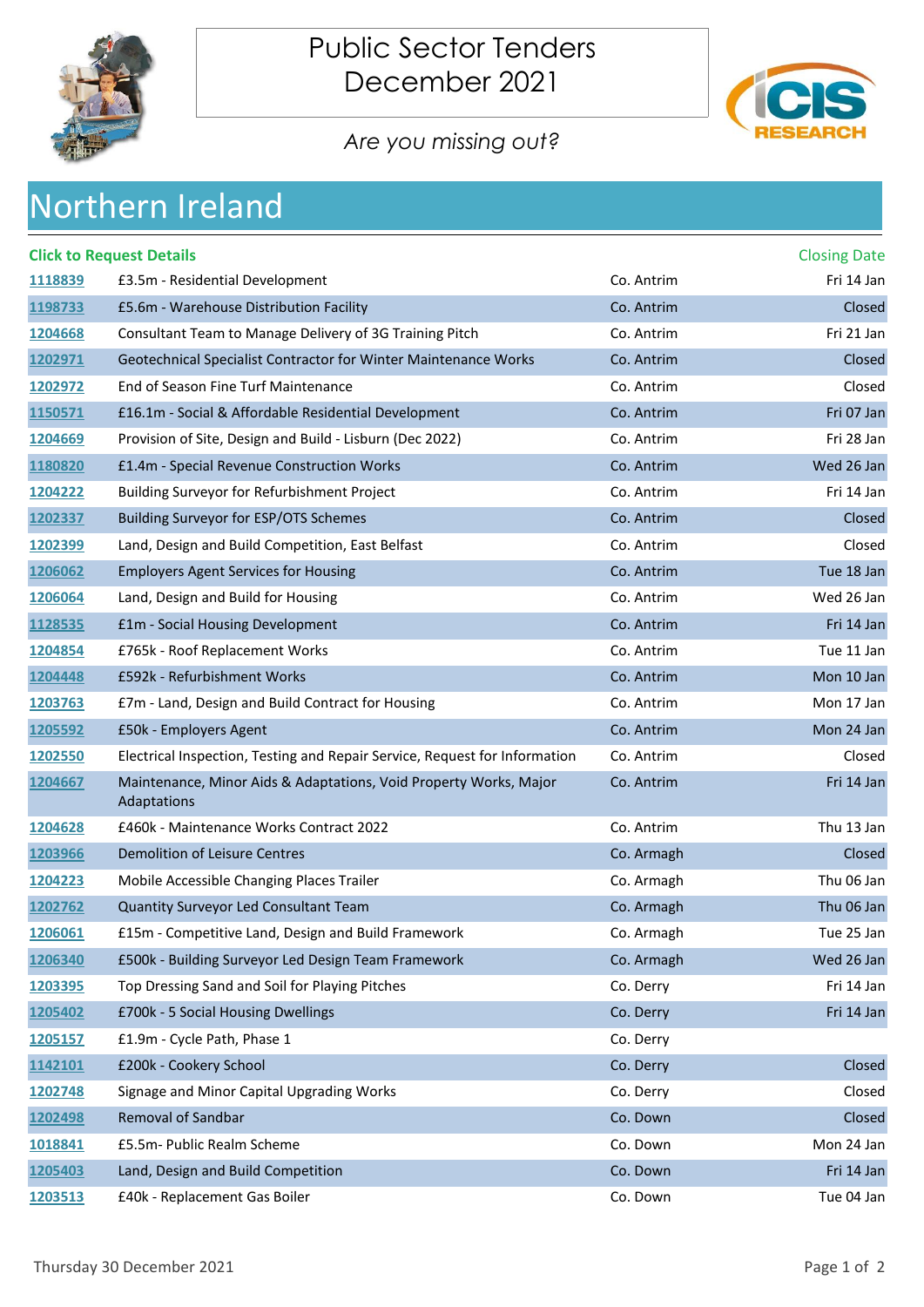



## *Are you missing out?*

| <b>Northern Ireland</b> |  |
|-------------------------|--|
|                         |  |

|         | <b>Click to Request Details</b>                                                  |            | <b>Closing Date</b> |
|---------|----------------------------------------------------------------------------------|------------|---------------------|
| 1118839 | £3.5m - Residential Development                                                  | Co. Antrim | Fri 14 Jan          |
| 1198733 | £5.6m - Warehouse Distribution Facility                                          | Co. Antrim | Closed              |
| 1204668 | Consultant Team to Manage Delivery of 3G Training Pitch                          | Co. Antrim | Fri 21 Jan          |
| 1202971 | Geotechnical Specialist Contractor for Winter Maintenance Works                  | Co. Antrim | Closed              |
| 1202972 | End of Season Fine Turf Maintenance                                              | Co. Antrim | Closed              |
| 1150571 | £16.1m - Social & Affordable Residential Development                             | Co. Antrim | Fri 07 Jan          |
| 1204669 | Provision of Site, Design and Build - Lisburn (Dec 2022)                         | Co. Antrim | Fri 28 Jan          |
| 1180820 | £1.4m - Special Revenue Construction Works                                       | Co. Antrim | Wed 26 Jan          |
| 1204222 | Building Surveyor for Refurbishment Project                                      | Co. Antrim | Fri 14 Jan          |
| 1202337 | Building Surveyor for ESP/OTS Schemes                                            | Co. Antrim | Closed              |
| 1202399 | Land, Design and Build Competition, East Belfast                                 | Co. Antrim | Closed              |
| 1206062 | <b>Employers Agent Services for Housing</b>                                      | Co. Antrim | Tue 18 Jan          |
| 1206064 | Land, Design and Build for Housing                                               | Co. Antrim | Wed 26 Jan          |
| 1128535 | £1m - Social Housing Development                                                 | Co. Antrim | Fri 14 Jan          |
| 1204854 | £765k - Roof Replacement Works                                                   | Co. Antrim | Tue 11 Jan          |
| 1204448 | £592k - Refurbishment Works                                                      | Co. Antrim | Mon 10 Jan          |
| 1203763 | £7m - Land, Design and Build Contract for Housing                                | Co. Antrim | Mon 17 Jan          |
| 1205592 | £50k - Employers Agent                                                           | Co. Antrim | Mon 24 Jan          |
| 1202550 | Electrical Inspection, Testing and Repair Service, Request for Information       | Co. Antrim | Closed              |
| 1204667 | Maintenance, Minor Aids & Adaptations, Void Property Works, Major<br>Adaptations | Co. Antrim | Fri 14 Jan          |
| 1204628 | £460k - Maintenance Works Contract 2022                                          | Co. Antrim | Thu 13 Jan          |
| 1203966 | Demolition of Leisure Centres                                                    | Co. Armagh | Closed              |
| 1204223 | Mobile Accessible Changing Places Trailer                                        | Co. Armagh | Thu 06 Jan          |
| 1202762 | Quantity Surveyor Led Consultant Team                                            | Co. Armagh | Thu 06 Jan          |
| 1206061 | £15m - Competitive Land, Design and Build Framework                              | Co. Armagh | Tue 25 Jan          |
| 1206340 | £500k - Building Surveyor Led Design Team Framework                              | Co. Armagh | Wed 26 Jan          |
| 1203395 | Top Dressing Sand and Soil for Playing Pitches                                   | Co. Derry  | Fri 14 Jan          |
| 1205402 | £700k - 5 Social Housing Dwellings                                               | Co. Derry  | Fri 14 Jan          |
| 1205157 | £1.9m - Cycle Path, Phase 1                                                      | Co. Derry  |                     |
| 1142101 | £200k - Cookery School                                                           | Co. Derry  | Closed              |
| 1202748 | Signage and Minor Capital Upgrading Works                                        | Co. Derry  | Closed              |
| 1202498 | Removal of Sandbar                                                               | Co. Down   | Closed              |
| 1018841 | £5.5m- Public Realm Scheme                                                       | Co. Down   | Mon 24 Jan          |
| 1205403 | Land, Design and Build Competition                                               | Co. Down   | Fri 14 Jan          |
| 1203513 | £40k - Replacement Gas Boiler                                                    | Co. Down   | Tue 04 Jan          |